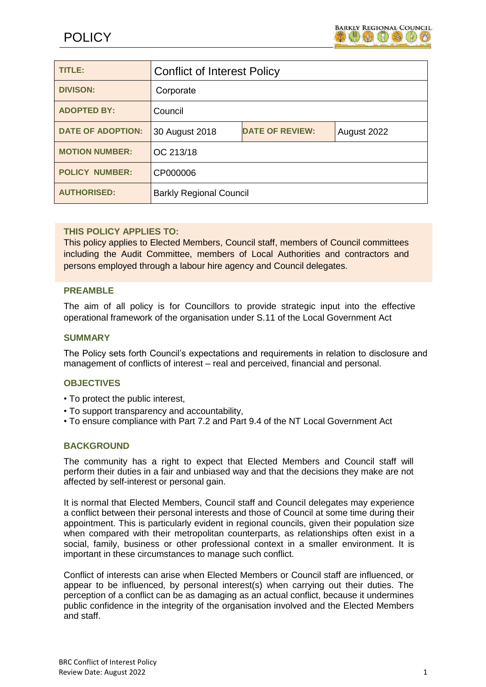

| <b>TITLE:</b>            | <b>Conflict of Interest Policy</b> |                        |             |
|--------------------------|------------------------------------|------------------------|-------------|
| <b>DIVISON:</b>          | Corporate                          |                        |             |
| <b>ADOPTED BY:</b>       | Council                            |                        |             |
| <b>DATE OF ADOPTION:</b> | 30 August 2018                     | <b>DATE OF REVIEW:</b> | August 2022 |
| <b>MOTION NUMBER:</b>    | OC 213/18                          |                        |             |
| <b>POLICY NUMBER:</b>    | CP000006                           |                        |             |
| <b>AUTHORISED:</b>       | <b>Barkly Regional Council</b>     |                        |             |

# **THIS POLICY APPLIES TO:**

This policy applies to Elected Members, Council staff, members of Council committees including the Audit Committee, members of Local Authorities and contractors and persons employed through a labour hire agency and Council delegates.

### **PREAMBLE**

The aim of all policy is for Councillors to provide strategic input into the effective operational framework of the organisation under S.11 of the Local Government Act

### **SUMMARY**

The Policy sets forth Council's expectations and requirements in relation to disclosure and management of conflicts of interest – real and perceived, financial and personal.

### **OBJECTIVES**

- To protect the public interest,
- To support transparency and accountability,
- To ensure compliance with Part 7.2 and Part 9.4 of the NT Local Government Act

### **BACKGROUND**

The community has a right to expect that Elected Members and Council staff will perform their duties in a fair and unbiased way and that the decisions they make are not affected by self-interest or personal gain.

It is normal that Elected Members, Council staff and Council delegates may experience a conflict between their personal interests and those of Council at some time during their appointment. This is particularly evident in regional councils, given their population size when compared with their metropolitan counterparts, as relationships often exist in a social, family, business or other professional context in a smaller environment. It is important in these circumstances to manage such conflict.

Conflict of interests can arise when Elected Members or Council staff are influenced, or appear to be influenced, by personal interest(s) when carrying out their duties. The perception of a conflict can be as damaging as an actual conflict, because it undermines public confidence in the integrity of the organisation involved and the Elected Members and staff.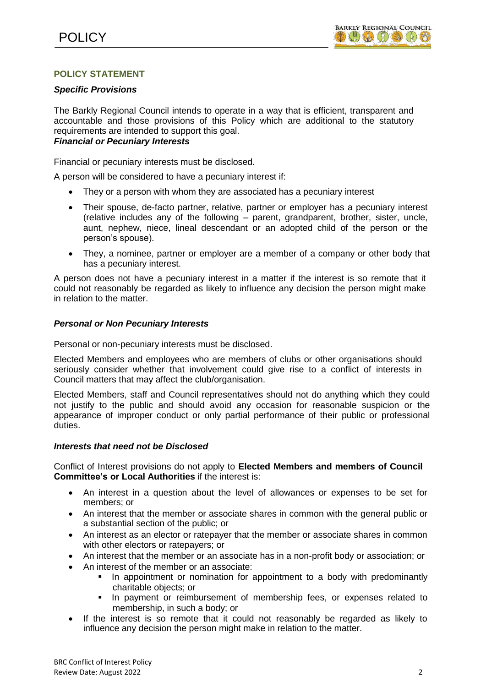# **POLICY STATEMENT**

# *Specific Provisions*

The Barkly Regional Council intends to operate in a way that is efficient, transparent and accountable and those provisions of this Policy which are additional to the statutory requirements are intended to support this goal.

# *Financial or Pecuniary Interests*

Financial or pecuniary interests must be disclosed.

A person will be considered to have a pecuniary interest if:

- They or a person with whom they are associated has a pecuniary interest
- Their spouse, de-facto partner, relative, partner or employer has a pecuniary interest (relative includes any of the following – parent, grandparent, brother, sister, uncle, aunt, nephew, niece, lineal descendant or an adopted child of the person or the person's spouse).
- They, a nominee, partner or employer are a member of a company or other body that has a pecuniary interest.

A person does not have a pecuniary interest in a matter if the interest is so remote that it could not reasonably be regarded as likely to influence any decision the person might make in relation to the matter.

# *Personal or Non Pecuniary Interests*

Personal or non-pecuniary interests must be disclosed.

Elected Members and employees who are members of clubs or other organisations should seriously consider whether that involvement could give rise to a conflict of interests in Council matters that may affect the club/organisation.

Elected Members, staff and Council representatives should not do anything which they could not justify to the public and should avoid any occasion for reasonable suspicion or the appearance of improper conduct or only partial performance of their public or professional duties.

# *Interests that need not be Disclosed*

Conflict of Interest provisions do not apply to **Elected Members and members of Council Committee's or Local Authorities** if the interest is:

- An interest in a question about the level of allowances or expenses to be set for members; or
- An interest that the member or associate shares in common with the general public or a substantial section of the public; or
- An interest as an elector or ratepayer that the member or associate shares in common with other electors or ratepayers; or
- An interest that the member or an associate has in a non-profit body or association; or
- An interest of the member or an associate:
	- In appointment or nomination for appointment to a body with predominantly charitable objects; or
	- In payment or reimbursement of membership fees, or expenses related to membership, in such a body; or
- If the interest is so remote that it could not reasonably be regarded as likely to influence any decision the person might make in relation to the matter.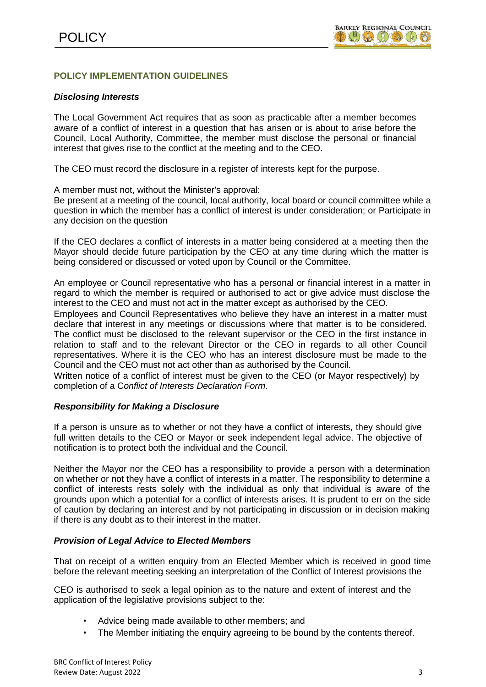# **POLICY IMPLEMENTATION GUIDELINES**

### *Disclosing Interests*

The Local Government Act requires that as soon as practicable after a member becomes aware of a conflict of interest in a question that has arisen or is about to arise before the Council, Local Authority, Committee, the member must disclose the personal or financial interest that gives rise to the conflict at the meeting and to the CEO.

The CEO must record the disclosure in a register of interests kept for the purpose.

A member must not, without the Minister's approval:

Be present at a meeting of the council, local authority, local board or council committee while a question in which the member has a conflict of interest is under consideration; or Participate in any decision on the question

If the CEO declares a conflict of interests in a matter being considered at a meeting then the Mayor should decide future participation by the CEO at any time during which the matter is being considered or discussed or voted upon by Council or the Committee.

An employee or Council representative who has a personal or financial interest in a matter in regard to which the member is required or authorised to act or give advice must disclose the interest to the CEO and must not act in the matter except as authorised by the CEO.

Employees and Council Representatives who believe they have an interest in a matter must declare that interest in any meetings or discussions where that matter is to be considered. The conflict must be disclosed to the relevant supervisor or the CEO in the first instance in relation to staff and to the relevant Director or the CEO in regards to all other Council representatives. Where it is the CEO who has an interest disclosure must be made to the Council and the CEO must not act other than as authorised by the Council.

Written notice of a conflict of interest must be given to the CEO (or Mayor respectively) by completion of a C*onflict of Interests Declaration Form*.

# *Responsibility for Making a Disclosure*

If a person is unsure as to whether or not they have a conflict of interests, they should give full written details to the CEO or Mayor or seek independent legal advice. The objective of notification is to protect both the individual and the Council.

Neither the Mayor nor the CEO has a responsibility to provide a person with a determination on whether or not they have a conflict of interests in a matter. The responsibility to determine a conflict of interests rests solely with the individual as only that individual is aware of the grounds upon which a potential for a conflict of interests arises. It is prudent to err on the side of caution by declaring an interest and by not participating in discussion or in decision making if there is any doubt as to their interest in the matter.

# *Provision of Legal Advice to Elected Members*

That on receipt of a written enquiry from an Elected Member which is received in good time before the relevant meeting seeking an interpretation of the Conflict of Interest provisions the

CEO is authorised to seek a legal opinion as to the nature and extent of interest and the application of the legislative provisions subject to the:

- Advice being made available to other members; and
- The Member initiating the enquiry agreeing to be bound by the contents thereof.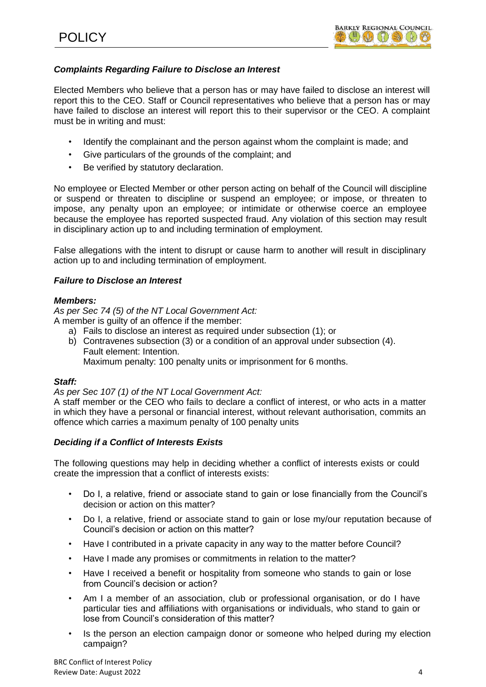# *Complaints Regarding Failure to Disclose an Interest*

Elected Members who believe that a person has or may have failed to disclose an interest will report this to the CEO. Staff or Council representatives who believe that a person has or may have failed to disclose an interest will report this to their supervisor or the CEO. A complaint must be in writing and must:

- Identify the complainant and the person against whom the complaint is made; and
- Give particulars of the grounds of the complaint; and
- Be verified by statutory declaration.

No employee or Elected Member or other person acting on behalf of the Council will discipline or suspend or threaten to discipline or suspend an employee; or impose, or threaten to impose, any penalty upon an employee; or intimidate or otherwise coerce an employee because the employee has reported suspected fraud. Any violation of this section may result in disciplinary action up to and including termination of employment.

False allegations with the intent to disrupt or cause harm to another will result in disciplinary action up to and including termination of employment.

# *Failure to Disclose an Interest*

### *Members:*

*As per Sec 74 (5) of the NT Local Government Act:*

A member is guilty of an offence if the member:

- a) Fails to disclose an interest as required under subsection (1); or
- b) Contravenes subsection (3) or a condition of an approval under subsection (4). Fault element: Intention. Maximum penalty: 100 penalty units or imprisonment for 6 months.

### *Staff:*

### *As per Sec 107 (1) of the NT Local Government Act:*

A staff member or the CEO who fails to declare a conflict of interest, or who acts in a matter in which they have a personal or financial interest, without relevant authorisation, commits an offence which carries a maximum penalty of 100 penalty units

# *Deciding if a Conflict of Interests Exists*

The following questions may help in deciding whether a conflict of interests exists or could create the impression that a conflict of interests exists:

- Do I, a relative, friend or associate stand to gain or lose financially from the Council's decision or action on this matter?
- Do I, a relative, friend or associate stand to gain or lose my/our reputation because of Council's decision or action on this matter?
- Have I contributed in a private capacity in any way to the matter before Council?
- Have I made any promises or commitments in relation to the matter?
- Have I received a benefit or hospitality from someone who stands to gain or lose from Council's decision or action?
- Am I a member of an association, club or professional organisation, or do I have particular ties and affiliations with organisations or individuals, who stand to gain or lose from Council's consideration of this matter?
- Is the person an election campaign donor or someone who helped during my election campaign?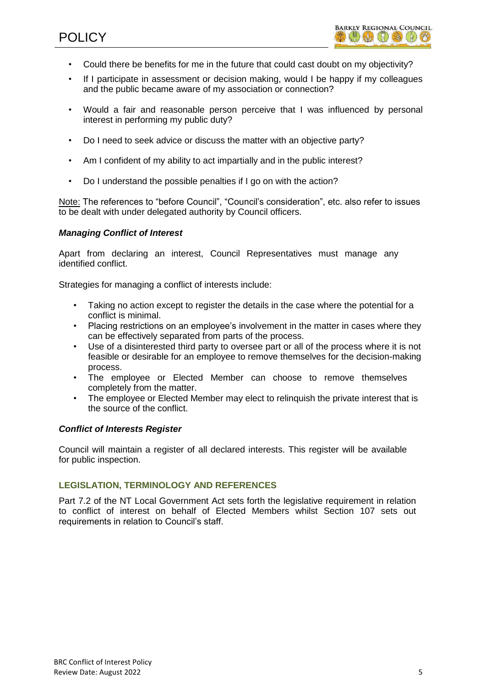

- Could there be benefits for me in the future that could cast doubt on my objectivity?
- If I participate in assessment or decision making, would I be happy if my colleagues and the public became aware of my association or connection?
- Would a fair and reasonable person perceive that I was influenced by personal interest in performing my public duty?
- Do I need to seek advice or discuss the matter with an objective party?
- Am I confident of my ability to act impartially and in the public interest?
- Do I understand the possible penalties if I go on with the action?

Note: The references to "before Council", "Council's consideration", etc. also refer to issues to be dealt with under delegated authority by Council officers.

# *Managing Conflict of Interest*

Apart from declaring an interest, Council Representatives must manage any identified conflict.

Strategies for managing a conflict of interests include:

- Taking no action except to register the details in the case where the potential for a conflict is minimal.
- Placing restrictions on an employee's involvement in the matter in cases where they can be effectively separated from parts of the process.
- Use of a disinterested third party to oversee part or all of the process where it is not feasible or desirable for an employee to remove themselves for the decision-making process.
- The employee or Elected Member can choose to remove themselves completely from the matter.
- The employee or Elected Member may elect to relinquish the private interest that is the source of the conflict.

# *Conflict of Interests Register*

Council will maintain a register of all declared interests. This register will be available for public inspection.

# **LEGISLATION, TERMINOLOGY AND REFERENCES**

Part 7.2 of the NT Local Government Act sets forth the legislative requirement in relation to conflict of interest on behalf of Elected Members whilst Section 107 sets out requirements in relation to Council's staff.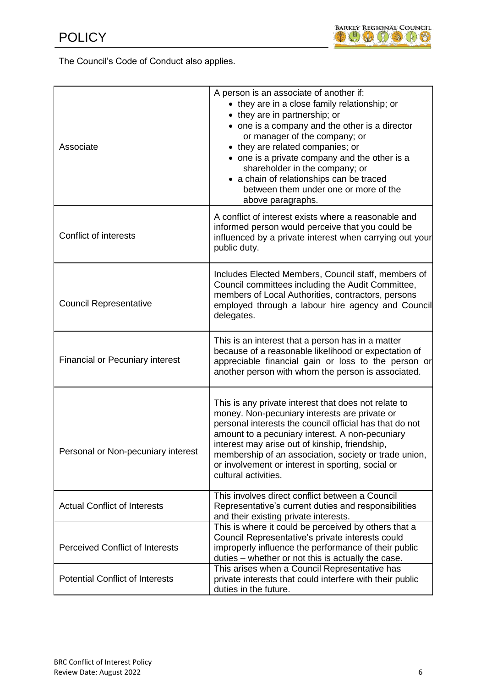

The Council's Code of Conduct also applies.

| Associate                              | A person is an associate of another if:<br>• they are in a close family relationship; or<br>• they are in partnership; or<br>• one is a company and the other is a director<br>or manager of the company; or<br>• they are related companies; or<br>• one is a private company and the other is a<br>shareholder in the company; or<br>• a chain of relationships can be traced<br>between them under one or more of the<br>above paragraphs. |  |
|----------------------------------------|-----------------------------------------------------------------------------------------------------------------------------------------------------------------------------------------------------------------------------------------------------------------------------------------------------------------------------------------------------------------------------------------------------------------------------------------------|--|
| <b>Conflict of interests</b>           | A conflict of interest exists where a reasonable and<br>informed person would perceive that you could be<br>influenced by a private interest when carrying out your<br>public duty.                                                                                                                                                                                                                                                           |  |
| <b>Council Representative</b>          | Includes Elected Members, Council staff, members of<br>Council committees including the Audit Committee,<br>members of Local Authorities, contractors, persons<br>employed through a labour hire agency and Council<br>delegates.                                                                                                                                                                                                             |  |
| <b>Financial or Pecuniary interest</b> | This is an interest that a person has in a matter<br>because of a reasonable likelihood or expectation of<br>appreciable financial gain or loss to the person or<br>another person with whom the person is associated.                                                                                                                                                                                                                        |  |
| Personal or Non-pecuniary interest     | This is any private interest that does not relate to<br>money. Non-pecuniary interests are private or<br>personal interests the council official has that do not<br>amount to a pecuniary interest. A non-pecuniary<br>interest may arise out of kinship, friendship,<br>membership of an association, society or trade union,<br>or involvement or interest in sporting, social or<br>cultural activities.                                   |  |
| <b>Actual Conflict of Interests</b>    | This involves direct conflict between a Council<br>Representative's current duties and responsibilities<br>and their existing private interests.                                                                                                                                                                                                                                                                                              |  |
| <b>Perceived Conflict of Interests</b> | This is where it could be perceived by others that a<br>Council Representative's private interests could<br>improperly influence the performance of their public<br>duties - whether or not this is actually the case.                                                                                                                                                                                                                        |  |
| <b>Potential Conflict of Interests</b> | This arises when a Council Representative has<br>private interests that could interfere with their public<br>duties in the future.                                                                                                                                                                                                                                                                                                            |  |